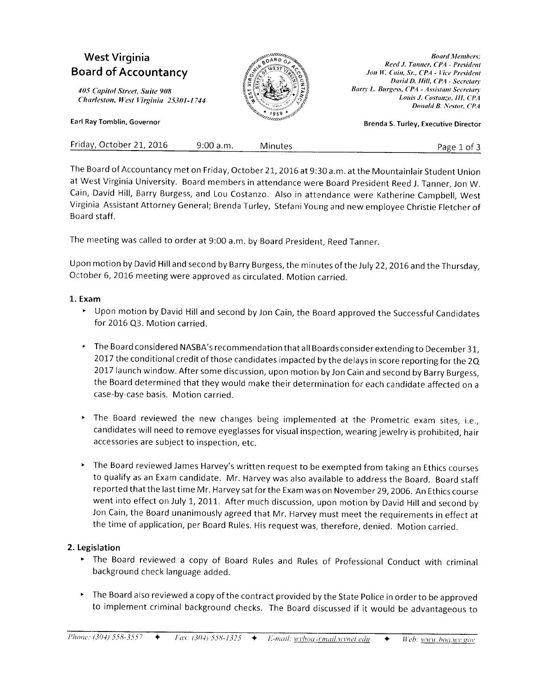# **West Virginia Board of Accountancy**

405 Capitol Street, Suite 908 Charleston, West Virginia 25301-1744

Earl Ray Tomblin, Governor



**Board Members:** Reed J. Tanner, CPA - President Jon W. Cain, Sr., CPA - Vice President David D. Hill, CPA - Secretary Barry L. Burgess, CPA - Assistant Secretary Louis J. Costanzo, III, CPA Donald B. Nestor, CPA

**Brenda S. Turley, Executive Director** 

| Friday, October 21, 2016 | 9:00 a.m. | Minutes | Page 1 of 3 |
|--------------------------|-----------|---------|-------------|
|                          |           |         |             |

The Board of Accountancy met on Friday, October 21, 2016 at 9:30 a.m. at the Mountainlair Student Union at West Virginia University. Board members in attendance were Board President Reed J. Tanner, Jon W. Cain, David Hill, Barry Burgess, and Lou Costanzo. Also in attendance were Katherine Campbell, West Virginia Assistant Attorney General; Brenda Turley, Stefani Young and new employee Christie Fletcher of Board staff.

The meeting was called to order at 9:00 a.m. by Board President, Reed Tanner.

Upon motion by David Hill and second by Barry Burgess, the minutes of the July 22, 2016 and the Thursday, October 6, 2016 meeting were approved as circulated. Motion carried.

### 1. Exam

- > Upon motion by David Hill and second by Jon Cain, the Board approved the Successful Candidates for 2016 Q3. Motion carried.
- The Board considered NASBA's recommendation that all Boards consider extending to December 31, 2017 the conditional credit of those candidates impacted by the delays in score reporting for the 2Q 2017 launch window. After some discussion, upon motion by Jon Cain and second by Barry Burgess, the Board determined that they would make their determination for each candidate affected on a case-by-case basis. Motion carried.
- The Board reviewed the new changes being implemented at the Prometric exam sites, i.e., candidates will need to remove eyeglasses for visual inspection, wearing jewelry is prohibited, hair accessories are subject to inspection, etc.
- The Board reviewed James Harvey's written request to be exempted from taking an Ethics courses to qualify as an Exam candidate. Mr. Harvey was also available to address the Board. Board staff reported that the last time Mr. Harvey sat for the Exam was on November 29, 2006. An Ethics course went into effect on July 1, 2011. After much discussion, upon motion by David Hill and second by Jon Cain, the Board unanimously agreed that Mr. Harvey must meet the requirements in effect at the time of application, per Board Rules. His request was, therefore, denied. Motion carried.

## 2. Legislation

- The Board reviewed a copy of Board Rules and Rules of Professional Conduct with criminal background check language added.
- The Board also reviewed a copy of the contract provided by the State Police in order to be approved to implement criminal background checks. The Board discussed if it would be advantageous to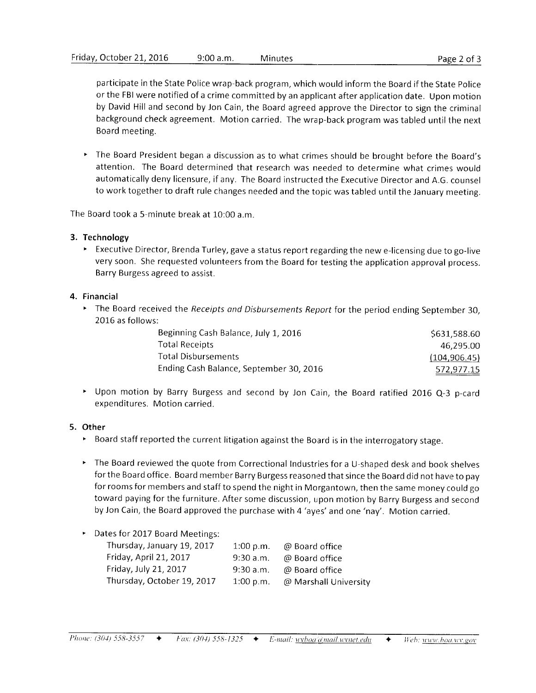participate in the State Police wrap-back program, which would inform the Board if the State Police or the FBI were notified of a crime committed by an applicant after application date. Upon motion by David Hill and second by Jon Cain, the Board agreed approve the Director to sign the criminal background check agreement. Motion carried. The wrap-back program was tabled until the next Board meeting.

' The Board President began a discussion as to what crinres should be brought before the Board's attention. The Board determined that research was needed to determine what crimes would automatically deny licensure, if any. The Board instructed the Executive Director and A.G. counsel to work together to draft rule changes needed and the topic was tabled until the January nreeting.

The Board took a 5-minute break at  $10:00$  a.m.

### 3. Technology

> Executive Director, Brenda Turley, gave a status report regarding the new e-licensing due to go-live very soon. She requested volunteers from the Board for testing the application approval process. Barry Burgess agreed to assist.

#### 4. Financial

The Board received the Receipts and Disbursements Report for the period ending September 30, 2016 as follows:

| Beginning Cash Balance, July 1, 2016    | \$631,588.60  |
|-----------------------------------------|---------------|
| Total Receipts                          | 46.295.00     |
| Total Disbursements                     | (104, 906.45) |
| Ending Cash Balance, September 30, 2016 | 572,977.15    |

Upon motion by Barry Burgess and second by Jon Cain, the Board ratified 2016 Q-3 p-card expenditures. Motion carried.

### 5. Other

- $\blacktriangleright$  Board staff reported the current litigation against the Board is in the interrogatory stage.
- ' The Board reviewed the quote from Correctional Industries for a U-shaped desk and book shelves for the Board office. Board member Barry Burgess reasoned that since the Board did not have to pay for rooms for members and staff to spend the night in Morgantown, then the same money could go toward paying for the furniture. After some discussion, upon motion by Barry Burgess and second by Jon Cain, the Board approved the purchase with 4 'ayes' and one 'nay'. Motion carried.

### Dates for 2017 Board Meetings:

| Thursday, January 19, 2017 | 1:00 p.m. | @ Board office        |
|----------------------------|-----------|-----------------------|
| Friday, April 21, 2017     | 9:30 a.m. | @ Board office        |
| Friday, July 21, 2017      | 9:30 a.m. | @ Board office        |
| Thursday, October 19, 2017 | 1:00 p.m. | @ Marshall University |